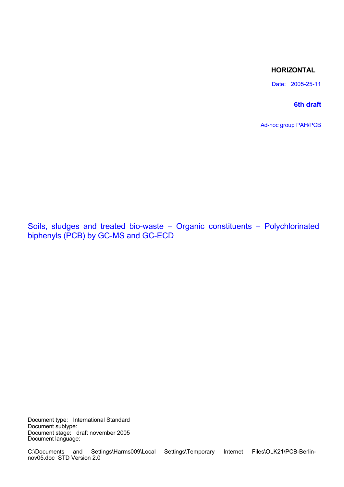# **HORIZONTAL**

Date: 2005-25-11

# **6th draft**

Ad-hoc group PAH/PCB

Soils, sludges and treated bio-waste – Organic constituents – Polychlorinated biphenyls (PCB) by GC-MS and GC-ECD

Document type: International Standard Document subtype: Document stage: draft november 2005 Document language: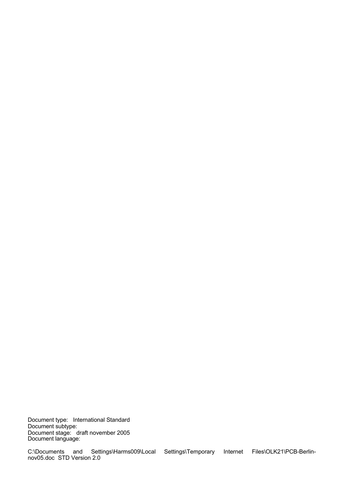Document type: International Standard Document subtype: Document stage: draft november 2005 Document language: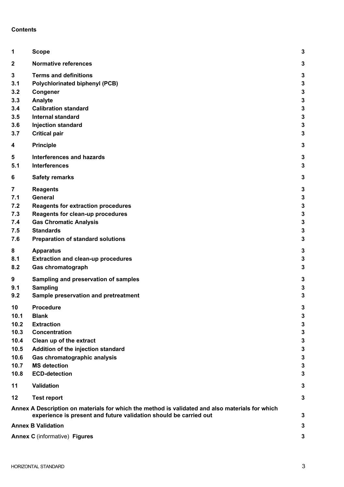# **Contents**

| 1                                | <b>Scope</b>                                                                                                                                                         | 3                |
|----------------------------------|----------------------------------------------------------------------------------------------------------------------------------------------------------------------|------------------|
| $\mathbf{2}$                     | <b>Normative references</b>                                                                                                                                          | 3                |
| $\mathbf 3$<br>3.1<br>3.2<br>3.3 | <b>Terms and definitions</b><br><b>Polychlorinated biphenyl (PCB)</b><br>Congener<br>Analyte                                                                         | 3<br>3<br>3<br>3 |
| 3.4                              | <b>Calibration standard</b>                                                                                                                                          | 3                |
| 3.5                              | <b>Internal standard</b>                                                                                                                                             | 3                |
| 3.6                              | <b>Injection standard</b>                                                                                                                                            | 3                |
| 3.7                              | <b>Critical pair</b>                                                                                                                                                 | 3                |
| 4                                | <b>Principle</b>                                                                                                                                                     | 3                |
| 5                                | <b>Interferences and hazards</b>                                                                                                                                     | 3                |
| 5.1                              | <b>Interferences</b>                                                                                                                                                 | 3                |
| 6                                | <b>Safety remarks</b>                                                                                                                                                | 3                |
| $\overline{7}$                   | <b>Reagents</b>                                                                                                                                                      | 3                |
| 7.1                              | General                                                                                                                                                              | 3                |
| 7.2                              | <b>Reagents for extraction procedures</b>                                                                                                                            | 3                |
| 7.3                              | <b>Reagents for clean-up procedures</b>                                                                                                                              | 3                |
| 7.4                              | <b>Gas Chromatic Analysis</b>                                                                                                                                        | 3                |
| 7.5                              | <b>Standards</b>                                                                                                                                                     | 3                |
| 7.6                              | <b>Preparation of standard solutions</b>                                                                                                                             | 3                |
| 8                                | <b>Apparatus</b>                                                                                                                                                     | 3                |
| 8.1                              | <b>Extraction and clean-up procedures</b>                                                                                                                            | 3                |
| 8.2                              | Gas chromatograph                                                                                                                                                    | 3                |
| 9                                | Sampling and preservation of samples                                                                                                                                 | 3                |
| 9.1                              | Sampling                                                                                                                                                             | 3                |
| 9.2                              | Sample preservation and pretreatment                                                                                                                                 | 3                |
| 10                               | Procedure                                                                                                                                                            | 2                |
| 10.1                             | <b>Blank</b>                                                                                                                                                         | 3                |
| 10.2                             | <b>Extraction</b>                                                                                                                                                    | 3                |
| 10.3                             | <b>Concentration</b>                                                                                                                                                 | 3                |
| 10.4                             | Clean up of the extract                                                                                                                                              | 3                |
| 10.5                             | Addition of the injection standard                                                                                                                                   | 3                |
| 10.6                             | Gas chromatographic analysis                                                                                                                                         | 3                |
| 10.7                             | <b>MS</b> detection                                                                                                                                                  | 3                |
| 10.8                             | <b>ECD-detection</b>                                                                                                                                                 | 3                |
| 11                               | <b>Validation</b>                                                                                                                                                    | 3                |
| 12                               | <b>Test report</b>                                                                                                                                                   | 3                |
|                                  | Annex A Description on materials for which the method is validated and also materials for which<br>experience is present and future validation should be carried out | 3                |
|                                  | <b>Annex B Validation</b>                                                                                                                                            | 3                |
|                                  | <b>Annex C</b> (informative) Figures                                                                                                                                 | 3                |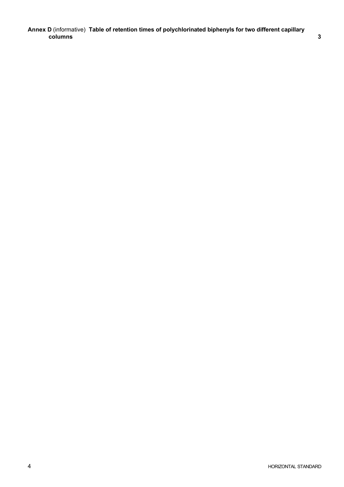**Annex D** (informative) **Table of retention times of polychlorinated biphenyls for two different capillary columns 3**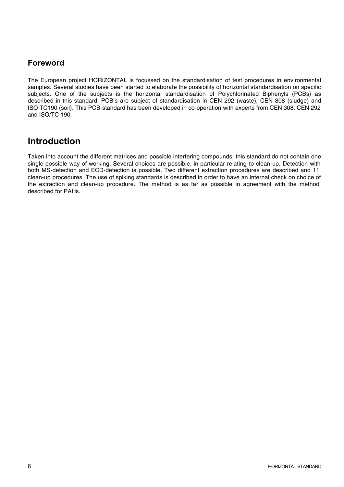# **Foreword**

The European project HORIZONTAL is focussed on the standardisation of test procedures in environmental samples. Several studies have been started to elaborate the possibility of horizontal standardisation on specific subjects. One of the subjects is the horizontal standardisation of Polychlorinated Biphenyls (PCBs) as described in this standard. PCB's are subject of standardisation in CEN 292 (waste), CEN 308 (sludge) and ISO TC190 (soil). This PCB-standard has been developed in co-operation with experts from CEN 308, CEN 292 and ISO/TC 190.

# **Introduction**

Taken into account the different matrices and possible interfering compounds, this standard do not contain one single possible way of working. Several choices are possible, in particular relating to clean-up. Detection with both MS-detection and ECD-detection is possible. Two different extraction procedures are described and 11 clean-up procedures. The use of spiking standards is described in order to have an internal check on choice of the extraction and clean-up procedure. The method is as far as possible in agreement with the method described for PAHs.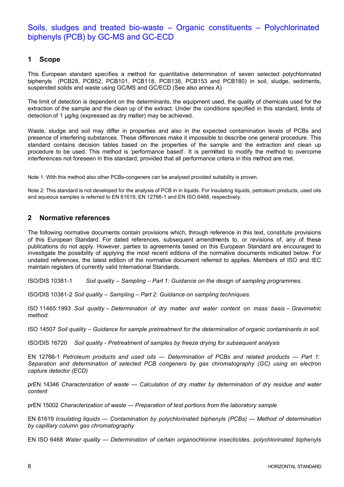# Soils, sludges and treated bio-waste – Organic constituents – Polychlorinated biphenyls (PCB) by GC-MS and GC-ECD

# **1 Scope**

This European standard specifies a method for quantitative determination of seven selected polychlorinated biphenyls (PCB28, PCB52, PCB101, PCB118, PCB138, PCB153 and PCB180) in soil, sludge, sediments, suspended solids and waste using GC/MS and GC/ECD (See also annex A)

The limit of detection is dependent on the determinants, the equipment used, the quality of chemicals used for the extraction of the sample and the clean up of the extract. Under the conditions specified in this standard, limits of detection of 1 μg/kg (expressed as dry matter) may be achieved.

Waste, sludge and soil may differ in properties and also in the expected contamination levels of PCBs and presence of interfering substances. These differences make it impossible to describe one general procedure. This standard contains decision tables based on the properties of the sample and the extraction and clean up procedure to be used. This method is 'performance based'. It is permitted to modify the method to overcome interferences not foreseen in this standard, provided that all performance criteria in this method are met.

Note 1: With this method also other PCBs-congeners can be analysed provided suitability is proven.

Note 2: This standard is not developed for the analysis of PCB in in liquids. For insulating liquids, petroleum products, used oils and aqueous samples is referred to EN 61619, EN 12766-1 and EN ISO 6468, respectively.

# **2 Normative references**

The following normative documents contain provisions which, through reference in this text, constitute provisions of this European Standard. For dated references, subsequent amendments to, or revisions of, any of these publications do not apply. However, parties to agreements based on this European Standard are encouraged to investigate the possibility of applying the most recent editions of the normative documents indicated below. For undated references, the latest edition of the normative document referred to applies. Members of ISO and IEC maintain registers of currently valid International Standards.

ISO/DIS 10381-1 *Soil quality – Sampling – Part 1: Guidance on the design of sampling programmes.*

ISO/DIS 10381-2 *Soil quality – Sampling – Part 2: Guidance on sampling techniques.*

ISO 11465:1993 *Soil quality – Determination of dry matter and water content on mass basis – Gravimetric method.*

ISO 14507 *Soil quality – Guidance for sample pretreatment for the determination of organic contaminants in soil.*

ISO/DIS 16720 *Soil quality - Pretreatment of samples by freeze drying for subsequent analysis*

EN 12766-1 *Petroleum products and used oils — Determination of PCBs and related products — Part 1: Separation and determination of selected PCB congeners by gas chromatography (GC) using an electron capture detector (ECD)*

prEN 14346 *Characterization of waste — Calculation of dry matter by determination of dry residue and water content*

prEN 15002 *Characterization of waste — Preparation of test portions from the laboratory sample*

EN 61619 *Insulating liquids — Contamination by polychlorinated biphenyls (PCBs) — Method of determination by capillary column gas chromatography*

EN ISO 6468 *Water quality — Determination of certain organochlorine insecticides, polychlorinated biphenyls*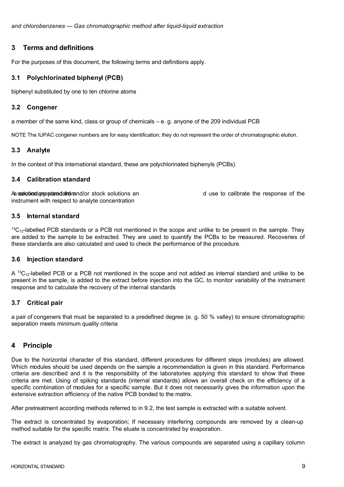*and chlorobenzenes — Gas chromatographic method after liquid-liquid extraction*

# **3 Terms and definitions**

For the purposes of this document, the following terms and definitions apply.

# **3.1 Polychlorinated biphenyl (PCB)**

biphenyl substituted by one to ten chlorine atoms

# **3.2 Congener**

a member of the same kind, class or group of chemicals – e. g. anyone of the 209 individual PCB

NOTE The IUPAC congener numbers are for easy identification; they do not represent the order of chromatographic elution.

# **3.3 Analyte**

In the context of this international standard, these are polychlorinated biphenyls (PCBs)

# **3.4 Calibration standard**

A subset of the subset of the secondary standard and a secondary standard and use to calibrate the response of the instrument with respect to analyte concentration

**3.5 Internal standard**

 $13C_{12}$ -labelled PCB standards or a PCB not mentioned in the scope and unlike to be present in the sample. They are added to the sample to be extracted. They are used to quantify the PCBs to be measured. Recoveries of these standards are also calculated and used to check the performance of the procedure.

### **3.6 Injection standard**

A  $^{13}C_{12}$ -labelled PCB or a PCB not mentioned in the scope and not added as internal standard and unlike to be present in the sample, is added to the extract before injection into the GC, to monitor variability of the instrument response and to calculate the recovery of the internal standards

# **3.7 Critical pair**

a pair of congeners that must be separated to a predefined degree (e. g. 50 % valley) to ensure chromatographic separation meets minimum quality criteria

# **4 Principle**

Due to the horizontal character of this standard, different procedures for different steps (modules) are allowed. Which modules should be used depends on the sample a recommendation is given in this standard. Performance criteria are described and it is the responsibility of the laboratories applying this standard to show that these criteria are met. Using of spiking standards (internal standards) allows an overall check on the efficiency of a specific combination of modules for a specific sample. But it does not necessarily gives the information upon the extensive extraction efficiency of the native PCB bonded to the matrix.

After pretreatment according methods referred to in 9.2, the test sample is extracted with a suitable solvent.

The extract is concentrated by evaporation; If necessary interfering compounds are removed by a clean-up method suitable for the specific matrix. The eluate is concentrated by evaporation.

The extract is analyzed by gas chromatography. The various compounds are separated using a capillary column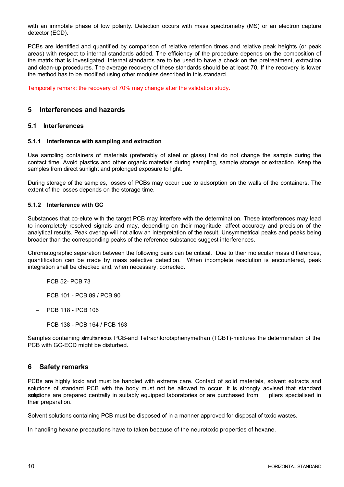with an immobile phase of low polarity. Detection occurs with mass spectrometry (MS) or an electron capture detector (ECD).

PCBs are identified and quantified by comparison of relative retention times and relative peak heights (or peak areas) with respect to internal standards added. The efficiency of the procedure depends on the composition of the matrix that is investigated. Internal standards are to be used to have a check on the pretreatment, extraction and clean-up procedures. The average recovery of these standards should be at least 70. If the recovery is lower the method has to be modified using other modules described in this standard.

Temporally remark: the recovery of 70% may change after the validation study.

# **5 Interferences and hazards**

### **5.1 Interferences**

#### **5.1.1 Interference with sampling and extraction**

Use sampling containers of materials (preferably of steel or glass) that do not change the sample during the contact time. Avoid plastics and other organic materials during sampling, sample storage or extraction. Keep the samples from direct sunlight and prolonged exposure to light.

During storage of the samples, losses of PCBs may occur due to adsorption on the walls of the containers. The extent of the losses depends on the storage time.

#### **5.1.2 Interference with GC**

Substances that co-elute with the target PCB may interfere with the determination. These interferences may lead to incompletely resolved signals and may, depending on their magnitude, affect accuracy and precision of the analytical results. Peak overlap will not allow an interpretation of the result. Unsymmetrical peaks and peaks being broader than the corresponding peaks of the reference substance suggest interferences.

Chromatographic separation between the following pairs can be critical. Due to their molecular mass differences, quantification can be made by mass selective detection. When incomplete resolution is encountered, peak integration shall be checked and, when necessary, corrected.

- $-$  PCB 52- PCB 73
- PCB 101 PCB 89 / PCB 90
- PCB 118 PCB 106
- PCB 138 PCB 164 / PCB 163

Samples containing simultaneous PCB-and Tetrachlorobiphenymethan (TCBT)-mixtures the determination of the PCB with GC-ECD might be disturbed.

# **6 Safety remarks**

PCBs are highly toxic and must be handled with extreme care. Contact of solid materials, solvent extracts and solutions of standard PCB with the body must not be allowed to occur. It is strongly advised that standard ssuluptions are prepared centrally in suitably equipped laboratories or are purchased from pliers specialised in their preparation.

Solvent solutions containing PCB must be disposed of in a manner approved for disposal of toxic wastes.

In handling hexane precautions have to taken because of the neurotoxic properties of hexane.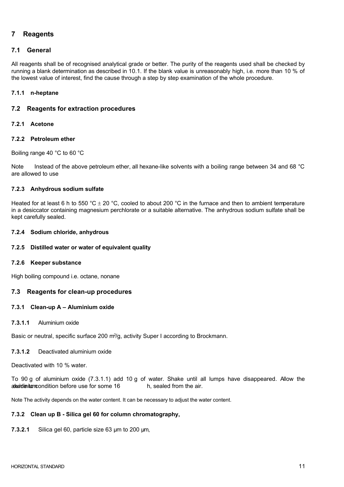# **7 Reagents**

## **7.1 General**

All reagents shall be of recognised analytical grade or better. The purity of the reagents used shall be checked by running a blank determination as described in 10.1. If the blank value is unreasonably high, i.e. more than 10 % of the lowest value of interest, find the cause through a step by step examination of the whole procedure.

## **7.1.1 n-heptane**

## **7.2 Reagents for extraction procedures**

### **7.2.1 Acetone**

## **7.2.2 Petroleum ether**

Boiling range 40 °C to 60 °C

Note Instead of the above petroleum ether, all hexane-like solvents with a boiling range between 34 and 68 °C are allowed to use

### **7.2.3 Anhydrous sodium sulfate**

Heated for at least 6 h to 550 °C  $\pm$  20 °C, cooled to about 200 °C in the furnace and then to ambient temperature in a desiccator containing magnesium perchlorate or a suitable alternative. The anhydrous sodium sulfate shall be kept carefully sealed.

### **7.2.4 Sodium chloride, anhydrous**

### **7.2.5 Distilled water or water of equivalent quality**

### **7.2.6 Keeper substance**

High boiling compound i.e. octane, nonane

### **7.3 Reagents for clean-up procedures**

### **7.3.1 Clean-up A – Aluminium oxide**

#### **7.3.1.1** Aluminium oxide

Basic or neutral, specific surface 200 m<sup>2</sup>/g, activity Super I according to Brockmann.

### **7.3.1.2** Deactivated aluminium oxide

Deactivated with 10 % water.

To 90 g of aluminium oxide (7.3.1.1) add 10 g of water. Shake until all lumps have disappeared. Allow the abundum im origination before use for some 16 h, sealed from the air.

Note The activity depends on the water content. It can be necessary to adjust the water content.

### **7.3.2 Clean up B - Silica gel 60 for column chromatography,**

**7.3.2.1** Silica gel 60, particle size 63 µm to 200 µm,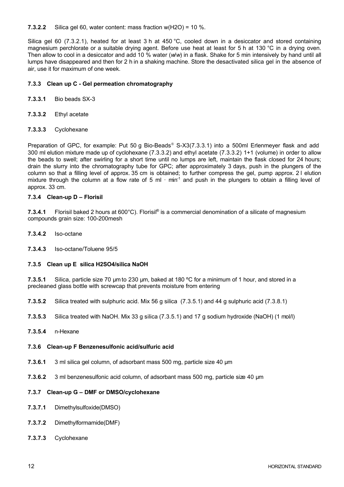**7.3.2.2** Silica gel 60, water content: mass fraction w(H2O) = 10 %.

Silica gel 60 (7.3.2.1), heated for at least 3 h at 450 °C, cooled down in a desiccator and stored containing magnesium perchlorate or a suitable drying agent. Before use heat at least for 5 h at 130 °C in a drying oven. Then allow to cool in a desiccator and add 10 % water (*w*/*w*) in a flask. Shake for 5 min intensively by hand until all lumps have disappeared and then for 2 h in a shaking machine. Store the desactivated silica gel in the absence of air, use it for maximum of one week.

#### **7.3.3 Clean up C - Gel permeation chromatography**

- **7.3.3.1** Bio beads SX-3
- **7.3.3.2** Ethyl acetate
- **7.3.3.3** Cyclohexane

Preparation of GPC, for example: Put 50 g Bio-Beads® S-X3(7.3.3.1) into a 500ml Erlenmeyer flask and add 300 ml elution mixture made up of cyclohexane (7.3.3.2) and ethyl acetate (7.3.3.2) 1+1 (volume) in order to allow the beads to swell; after swirling for a short time until no lumps are left, maintain the flask closed for 24 hours; drain the slurry into the chromatography tube for GPC; after approximately 3 days, push in the plungers of the column so that a filling level of approx. 35 cm is obtained; to further compress the gel, pump approx. 2 l elution mixture through the column at a flow rate of 5 ml  $\cdot$  min<sup>-1</sup> and push in the plungers to obtain a filling level of approx. 33 cm.

#### **7.3.4 Clean-up D – Florisil**

7.3.4.1 Florisil baked 2 hours at 600°C). Florisil<sup>®</sup> is a commercial denomination of a silicate of magnesium compounds grain size: 100-200mesh

- **7.3.4.2** Iso-octane
- **7.3.4.3** Iso-octane/Toluene 95/5

#### **7.3.5 Clean up E silica H2SO4/silica NaOH**

**7.3.5.1** Silica, particle size 70 µm to 230 µm, baked at 180 ºC for a minimum of 1 hour, and stored in a precleaned glass bottle with screwcap that prevents moisture from entering

**7.3.5.2** Silica treated with sulphuric acid. Mix 56 g silica (7.3.5.1) and 44 g sulphuric acid (7.3.8.1)

- **7.3.5.3** Silica treated with NaOH. Mix 33 g silica (7.3.5.1) and 17 g sodium hydroxide (NaOH) (1 mol/l)
- **7.3.5.4** n-Hexane

#### **7.3.6 Clean-up F Benzenesulfonic acid/sulfuric acid**

- **7.3.6.1** 3 ml silica gel column, of adsorbant mass 500 mg, particle size 40 µm
- **7.3.6.2** 3 ml benzenesulfonic acid column, of adsorbant mass 500 mg, particle size 40 µm

### **7.3.7 Clean-up G – DMF or DMSO/cyclohexane**

- **7.3.7.1** Dimethylsulfoxide(DMSO)
- **7.3.7.2** Dimethylformamide(DMF)
- **7.3.7.3** Cyclohexane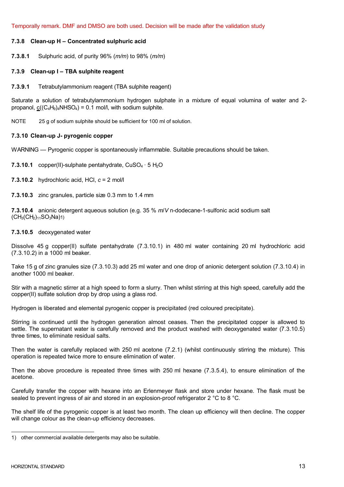Temporally remark. DMF and DMSO are both used. Decision will be made after the validation study

#### **7.3.8 Clean-up H – Concentrated sulphuric acid**

**7.3.8.1** Sulphuric acid, of purity 96% (*m/m*) to 98% (*m/m*)

#### **7.3.9 Clean-up I – TBA sulphite reagent**

**7.3.9.1** Tetrabutylammonium reagent (TBA sulphite reagent)

Saturate a solution of tetrabutylammonium hydrogen sulphate in a mixture of equal volumina of water and 2 propanol,  $c((C_4H_9)_4NHSO_4) = 0.1$  mol/l, with sodium sulphite.

NOTE 25 g of sodium sulphite should be sufficient for 100 ml of solution.

#### **7.3.10 Clean-up J- pyrogenic copper**

WARNING — Pyrogenic copper is spontaneously inflammable. Suitable precautions should be taken.

**7.3.10.1** copper(II)-sulphate pentahydrate, CuSO<sub>4</sub> · 5 H<sub>2</sub>O

**7.3.10.2** hydrochloric acid, HCl, *c* = 2 mol/l

**7.3.10.3** zinc granules, particle size 0.3 mm to 1.4 mm

**7.3.10.4** anionic detergent aqueous solution (e.g. 35 % *m*/*V* n-dodecane-1-sulfonic acid sodium salt  $(CH<sub>3</sub>(CH<sub>2</sub>)<sub>11</sub>SO<sub>3</sub>Na)1)$ 

#### **7.3.10.5** deoxygenated water

Dissolve 45 g copper(II) sulfate pentahydrate (7.3.10.1) in 480 ml water containing 20 ml hydrochloric acid (7.3.10.2) in a 1000 ml beaker.

Take 15 g of zinc granules size (7.3.10.3) add 25 ml water and one drop of anionic detergent solution (7.3.10.4) in another 1000 ml beaker.

Stir with a magnetic stirrer at a high speed to form a slurry. Then whilst stirring at this high speed, carefully add the copper(II) sulfate solution drop by drop using a glass rod.

Hydrogen is liberated and elemental pyrogenic copper is precipitated (red coloured precipitate).

Stirring is continued until the hydrogen generation almost ceases. Then the precipitated copper is allowed to settle. The supernatant water is carefully removed and the product washed with deoxygenated water (7.3.10.5) three times, to eliminate residual salts.

Then the water is carefully replaced with 250 ml acetone (7.2.1) (whilst continuously stirring the mixture). This operation is repeated twice more to ensure elimination of water.

Then the above procedure is repeated three times with 250 ml hexane (7.3.5.4), to ensure elimination of the acetone.

Carefully transfer the copper with hexane into an Erlenmeyer flask and store under hexane. The flask must be sealed to prevent ingress of air and stored in an explosion-proof refrigerator 2 °C to 8 °C.

The shelf life of the pyrogenic copper is at least two month. The clean up efficiency will then decline. The copper will change colour as the clean-up efficiency decreases.

<sup>1)</sup> other commercial available detergents may also be suitable.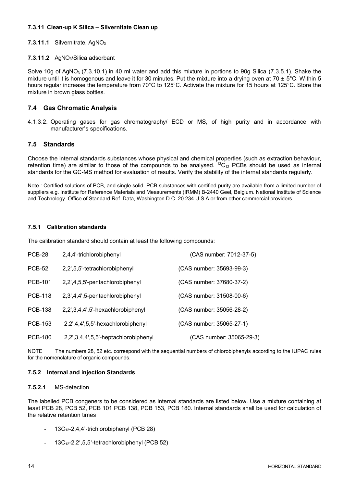# **7.3.11 Clean-up K Silica – Silvernitate Clean up**

# **7.3.11.1** Silvernitrate, AgNO<sub>3</sub>

## 7.3.11.2 AgNO<sub>3</sub>/Silica adsorbant

Solve 10g of AgNO<sub>3</sub> (7.3.10.1) in 40 ml water and add this mixture in portions to 90g Silica (7.3.5.1). Shake the mixture until it is homogenous and leave it for 30 minutes. Put the mixture into a drying oven at 70  $\pm$  5°C. Within 5 hours regular increase the temperature from 70°C to 125°C. Activate the mixture for 15 hours at 125°C. Store the mixture in brown glass bottles.

# **7.4 Gas Chromatic Analysis**

4.1.3.2. Operating gases for gas chromatography/ ECD or MS, of high purity and in accordance with manufacturer's specifications.

# **7.5 Standards**

Choose the internal standards substances whose physical and chemical properties (such as extraction behaviour, retention time) are similar to those of the compounds to be analysed.  ${}^{13}C_{12}$  PCBs should be used as internal standards for the GC-MS method for evaluation of results. Verify the stability of the internal standards regularly.

Note : Certified solutions of PCB, and single solid PCB substances with certified purity are available from a limited number of suppliers e.g. Institute for Reference Materials and Measurements (IRMM) B-2440 Geel, Belgium. National Institute of Science and Technology. Office of Standard Ref. Data, Washington D.C. 20 234 U.S.A or from other commercial providers

# **7.5.1 Calibration standards**

The calibration standard should contain at least the following compounds:

| <b>PCB-28</b>  | 2,4,4'-trichlorobiphenyl             | (CAS number: 7012-37-5)  |
|----------------|--------------------------------------|--------------------------|
| <b>PCB-52</b>  | 2,2',5,5'-tetrachlorobiphenyl        | (CAS number: 35693-99-3) |
| <b>PCB-101</b> | 2,2',4,5,5'-pentachlorobiphenyl      | (CAS number: 37680-37-2) |
| <b>PCB-118</b> | 2,3',4,4',5-pentachlorobiphenyl      | (CAS number: 31508-00-6) |
| <b>PCB-138</b> | 2,2',3,4,4',5'-hexachlorobiphenyl    | (CAS number: 35056-28-2) |
| <b>PCB-153</b> | 2,2',4,4',5,5'-hexachlorobiphenyl    | (CAS number: 35065-27-1) |
| <b>PCB-180</b> | 2,2',3,4,4',5,5'-heptachlorobiphenyl | (CAS number: 35065-29-3) |

NOTE The numbers 28, 52 etc. correspond with the sequential numbers of chlorobiphenyls according to the IUPAC rules for the nomenclature of organic compounds.

### **7.5.2 Internal and injection Standards**

## **7.5.2.1** MS-detection

The labelled PCB congeners to be considered as internal standards are listed below. Use a mixture containing at least PCB 28, PCB 52, PCB 101 PCB 138, PCB 153, PCB 180. Internal standards shall be used for calculation of the relative retention times

- $13C_{12}$ -2,4,4'-trichlorobiphenyl (PCB 28)
- $13C_{12}$ -2,2',5,5'-tetrachlorobiphenyl (PCB 52)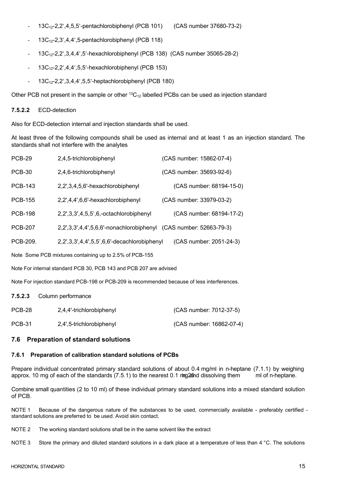- 13C12-2,2',4,5,5'-pentachlorobiphenyl (PCB 101) (CAS number 37680-73-2)
- 13C12-2,3',4,4',5-pentachlorobiphenyl (PCB 118)
- 13C12-2,2',3,4,4',5'-hexachlorobiphenyl (PCB 138) (CAS number 35065-28-2)
- 13C12-2,2',4,4',5,5'-hexachlorobiphenyl (PCB 153)
- $-$  13C<sub>12</sub>-2,2',3,4,4',5,5'-heptachlorobiphenyl (PCB 180)

Other PCB not present in the sample or other  ${}^{13}C_{12}$  labelled PCBs can be used as injection standard

#### **7.5.2.2** ECD-detection

Also for ECD-detection internal and injection standards shall be used.

At least three of the following compounds shall be used as internal and at least 1 as an injection standard. The standards shall not interfere with the analytes

| <b>PCB-29</b>                                           | 2,4,5-trichlorobiphenyl                                           | (CAS number: 15862-07-4) |  |  |
|---------------------------------------------------------|-------------------------------------------------------------------|--------------------------|--|--|
| <b>PCB-30</b>                                           | 2,4,6-trichlorobiphenyl                                           | (CAS number: 35693-92-6) |  |  |
| <b>PCB-143</b>                                          | 2,2',3,4,5,6'-hexachlorobiphenyl                                  | (CAS number: 68194-15-0) |  |  |
| <b>PCB-155</b>                                          | 2,2',4,4',6,6'-hexachlorobiphenyl                                 | (CAS number: 33979-03-2) |  |  |
| <b>PCB-198</b>                                          | 2,2',3,3',4,5,5',6,-octachlorobiphenyl                            | (CAS number: 68194-17-2) |  |  |
| <b>PCB-207</b>                                          | 2,2',3,3',4,4',5,6,6'-nonachlorobiphenyl (CAS number: 52663-79-3) |                          |  |  |
| PCB-209.                                                | 2,2',3,3',4,4',5,5',6,6'-decachlorobiphenyl                       | (CAS number: 2051-24-3)  |  |  |
| Note Some PCB mixtures containing up to 2.5% of PCB-155 |                                                                   |                          |  |  |

Note For internal standard PCB 30, PCB 143 and PCB 207 are advised

Note For injection standard PCB-198 or PCB-209 is recommended because of less interferences.

**7.5.2.3** Column performance

| PCB-28        | 2,4,4'-trichlorobiphenyl | (CAS number: 7012-37-5)  |
|---------------|--------------------------|--------------------------|
| <b>PCB-31</b> | 2,4',5-trichlorobiphenyl | (CAS number: 16862-07-4) |

# **7.6 Preparation of standard solutions**

### **7.6.1 Preparation of calibration standard solutions of PCBs**

Prepare individual concentrated primary standard solutions of about 0.4 mg/ml in n-heptane (7.1.1) by weighing approx. 10 mg of each of the standards  $(7.5.1)$  to the nearest 0.1 mg  $25$ nd dissolving them in 10f n-heptane.

Combine small quantities (2 to 10 ml) of these individual primary standard solutions into a mixed standard solution of PCB.

NOTE 1 Because of the dangerous nature of the substances to be used, commercially available - preferably certified standard solutions are preferred to be used. Avoid skin contact.

NOTE 2 The working standard solutions shall be in the same solvent like the extract

NOTE 3 Store the primary and diluted standard solutions in a dark place at a temperature of less than 4  $\degree$ C. The solutions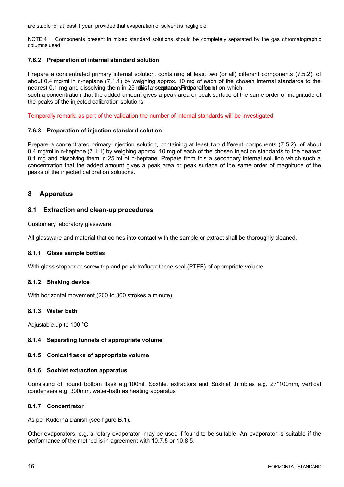are stable for at least 1 year, provided that evaporation of solvent is negligible.

NOTE 4 Components present in mixed standard solutions should be completely separated by the gas chromatographic columns used.

#### **7.6.2 Preparation of internal standard solution**

Prepare a concentrated primary internal solution, containing at least two (or all) different components (7.5.2), of about 0.4 mg/ml in n-heptane (7.1.1) by weighing approx. 10 mg of each of the chosen internal standards to the nearest 0.1 mg and dissolving them in 25 rithiof and standary Pire banal from this which

such a concentration that the added amount gives a peak area or peak surface of the same order of magnitude of the peaks of the injected calibration solutions.

Temporally remark: as part of the validation the number of internal standards will be investigated

#### **7.6.3 Preparation of injection standard solution**

Prepare a concentrated primary injection solution, containing at least two different components (7.5.2), of about 0.4 mg/ml in n-heptane (7.1.1) by weighing approx. 10 mg of each of the chosen injection standards to the nearest 0.1 mg and dissolving them in 25 ml of n-heptane. Prepare from this a secondary internal solution which such a concentration that the added amount gives a peak area or peak surface of the same order of magnitude of the peaks of the injected calibration solutions.

# **8 Apparatus**

### **8.1 Extraction and clean-up procedures**

Customary laboratory glassware.

All glassware and material that comes into contact with the sample or extract shall be thoroughly cleaned.

#### **8.1.1 Glass sample bottles**

With glass stopper or screw top and polytetrafluorethene seal (PTFE) of appropriate volume

#### **8.1.2 Shaking device**

With horizontal movement (200 to 300 strokes a minute).

#### **8.1.3 Water bath**

Adjustable.up to 100 °C

#### **8.1.4 Separating funnels of appropriate volume**

#### **8.1.5 Conical flasks of appropriate volume**

#### **8.1.6 Soxhlet extraction apparatus**

Consisting of: round bottom flask e.g.100ml, Soxhlet extractors and Soxhlet thimbles e.g. 27\*100mm, vertical condensers e.g. 300mm, water-bath as heating apparatus

#### **8.1.7 Concentrator**

As per Kuderna Danish (see figure B.1).

Other evaporators, e.g. a rotary evaporator, may be used if found to be suitable. An evaporator is suitable if the performance of the method is in agreement with 10.7.5 or 10.8.5.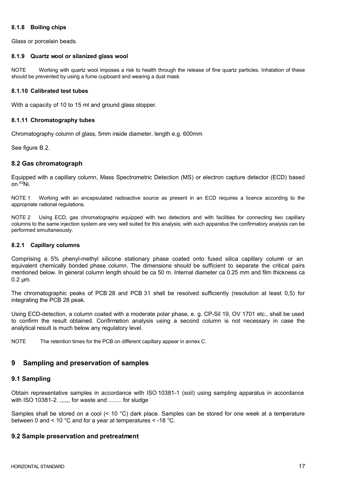### **8.1.8 Boiling chips**

Glass or porcelain beads.

#### **8.1.9 Quartz wool or silanized glass wool**

NOTE Working with quartz wool imposes a risk to health through the release of fine quartz particles. Inhalation of these should be prevented by using a fume cupboard and wearing a dust mask.

#### **8.1.10 Calibrated test tubes**

With a capacity of 10 to 15 ml and ground glass stopper.

#### **8.1.11 Chromatography tubes**

Chromatography column of glass, 5mm inside diameter, length e.g. 600mm

See figure B.2.

# **8.2 Gas chromatograph**

Equipped with a capillary column, Mass Spectrometric Detection (MS) or electron capture detector (ECD) based on  $63$ Ni.

NOTE 1 Working with an encapsulated radioactive source as present in an ECD requires a licence according to the appropriate national regulations.

NOTE 2 Using ECD, gas chromatographs equipped with two detectors and with facilities for connecting two capillary columns to the same injection system are very well suited for this analysis; with such apparatus the confirmatory analysis can be performed simultaneously.

#### **8.2.1 Capillary columns**

Comprising a 5% phenyl-methyl silicone stationary phase coated onto fused silica capillary column or an equivalent chemically bonded phase column. The dimensions should be sufficient to separate the critical pairs mentioned below. In general column length should be ca 50 m. Internal diameter ca 0.25 mm and film thickness ca 0.2 μm.

The chromatographic peaks of PCB 28 and PCB 31 shall be resolved sufficiently (resolution at least 0,5) for integrating the PCB 28 peak.

Using ECD-detection, a column coated with a moderate polar phase, e. g. CP-Sil 19, OV 1701 etc., shall be used to confirm the result obtained. Confirmation analysis using a second column is not necessary in case the analytical result is much below any regulatory level.

NOTE The retention times for the PCB on different capillary appear in annex C.

# **9 Sampling and preservation of samples**

### **9.1 Sampling**

Obtain representative samples in accordance with ISO 10381-1 (soil) using sampling apparatus in accordance with ISO 10381-2. ,,,,,, for waste and ........ for sludge

Samples shall be stored on a cool (< 10 °C) dark place. Samples can be stored for one week at a temperature between 0 and < 10 °C and for a year at temperatures < -18 °C.

### **9.2 Sample preservation and pretreatment**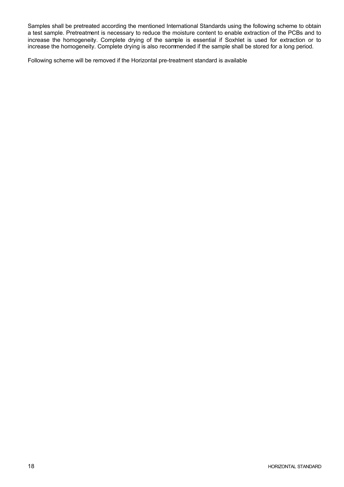Samples shall be pretreated according the mentioned International Standards using the following scheme to obtain a test sample. Pretreatment is necessary to reduce the moisture content to enable extraction of the PCBs and to increase the homogeneity. Complete drying of the sample is essential if Soxhlet is used for extraction or to increase the homogeneity. Complete drying is also recommended if the sample shall be stored for a long period.

Following scheme will be removed if the Horizontal pre-treatment standard is available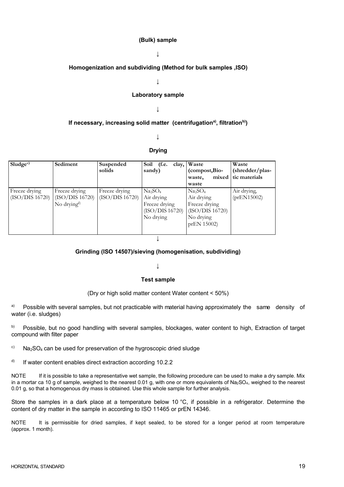#### **(Bulk) sample**

## **↓**

# **Homogenization and subdividing (Method for bulk samples ,ISO)**

**↓**

#### **Laboratory sample**

#### **↓**

## **If necessary, increasing solid matter (centrifugationa) , filtrationb))**

#### **↓**

#### **Drying**

| Sludge <sup>c</sup> | Sediment                | Suspended       | Soil (f.e. clay, Waste          |                                 | Waste           |  |  |
|---------------------|-------------------------|-----------------|---------------------------------|---------------------------------|-----------------|--|--|
|                     |                         | solids          | sandy)                          | (compost, Bio-                  | (shredder/plas- |  |  |
|                     |                         |                 |                                 | mixed  <br>waste,               | tic materials   |  |  |
|                     |                         |                 |                                 | waste                           |                 |  |  |
| Freeze drying       | Freeze drying           | Freeze drying   | Na <sub>2</sub> SO <sub>4</sub> | Na <sub>2</sub> SO <sub>4</sub> | Air drying,     |  |  |
| (ISO/DIS 16720)     | (ISO/DIS 16720)         | (ISO/DIS 16720) | Air drying                      | Air drying                      | (prEN15002)     |  |  |
|                     | No drying <sup>d)</sup> |                 | Freeze drying                   | Freeze drying                   |                 |  |  |
|                     |                         |                 | (ISO/DIS 16720)                 | (ISO/DIS 16720)                 |                 |  |  |
|                     |                         |                 | No drying                       | No drying                       |                 |  |  |
|                     |                         |                 |                                 | prEN 15002)                     |                 |  |  |
|                     |                         |                 |                                 |                                 |                 |  |  |
|                     |                         |                 |                                 |                                 |                 |  |  |

### **Grinding (ISO 14507)/sieving (homogenisation, subdividing)**

#### **↓**

#### **Test sample**

#### (Dry or high solid matter content Water content < 50%)

- a) Possible with several samples, but not practicable with material having approximately the same density of water (i.e. sludges)
- b) Possible, but no good handling with several samples, blockages, water content to high, Extraction of target compound with filter paper
- $\degree$  Na<sub>2</sub>SO<sub>4</sub> can be used for preservation of the hygroscopic dried sludge
- d) If water content enables direct extraction according 10.2.2

NOTE If it is possible to take a representative wet sample, the following procedure can be used to make a dry sample. Mix in a mortar ca 10 g of sample, weighed to the nearest 0.01 g, with one or more equivalents of Na<sub>2</sub>SO<sub>4</sub>, weighed to the nearest 0.01 g, so that a homogenous dry mass is obtained. Use this whole sample for further analysis.

Store the samples in a dark place at a temperature below 10 °C, if possible in a refrigerator. Determine the content of dry matter in the sample in according to ISO 11465 or prEN 14346.

NOTE It is permissible for dried samples, if kept sealed, to be stored for a longer period at room temperature (approx. 1 month).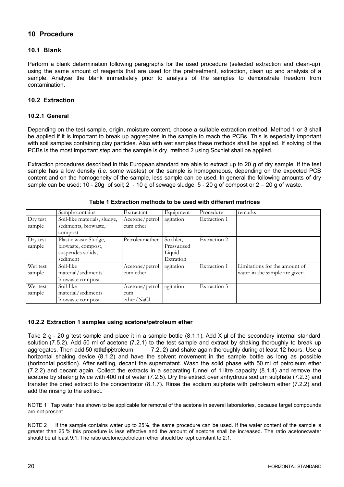# **10 Procedure**

## **10.1 Blank**

Perform a blank determination following paragraphs for the used procedure (selected extraction and clean-up) using the same amount of reagents that are used for the pretreatment, extraction, clean up and analysis of a sample. Analyse the blank immediately prior to analysis of the samples to demonstrate freedom from contamination.

# **10.2 Extraction**

### **10.2.1 General**

Depending on the test sample, origin, moisture content, choose a suitable extraction method. Method 1 or 3 shall be applied if it is important to break up aggregates in the sample to reach the PCBs. This is especially important with soil samples containing clay particles. Also with wet samples these methods shall be applied. If solving of the PCBs is the most important step and the sample is dry, method 2 using Soxhlet shall be applied.

Extraction procedures described in this European standard are able to extract up to 20 g of dry sample. If the test sample has a low density (i.e. some wastes) or the sample is homogeneous, depending on the expected PCB content and on the homogeneity of the sample, less sample can be used. In general the following amounts of dry sample can be used:  $10 - 20q$  of soil;  $2 - 10q$  of sewage sludge,  $5 - 20q$  of compost or  $2 - 20q$  of waste.

|                    | Sample contains                                                              | Extractant                          | Equipment                                      | Procedure    | remarks                                                         |
|--------------------|------------------------------------------------------------------------------|-------------------------------------|------------------------------------------------|--------------|-----------------------------------------------------------------|
| Dry test<br>sample | Soil-like materials, sludge,<br>sediments, biowaste,<br>compost              | Acetone/petrol<br>eum ether         | agitation                                      | Extraction 1 |                                                                 |
| Dry test<br>sample | Plastic waste Sludge,<br>biowaste, compost,<br>suspendes solids,<br>sediment | Petroleumether                      | Soxhlet,<br>Pressurised<br>Liquid<br>Extration | Extraction 2 |                                                                 |
| Wet test<br>sample | Soil-like<br>material/sediments<br>biowaste compost                          | Acetone/petrol<br>eum ether         | agitation                                      | Extraction 1 | Limitations for the amount of<br>water in the sample are given. |
| Wet test<br>sample | Soil-like<br>material/sediments<br>biowaste compost                          | Acetone/petrol<br>eum<br>ether/NaCl | agitation                                      | Extraction 3 |                                                                 |

**Table 1 Extraction methods to be used with different matrices**

### **10.2.2 Extraction 1 samples using acetone/petroleum ether**

Take 2 g - 20 g test sample and place it in a sample bottle (8.1.1). Add X μl of the secondary internal standard solution (7.5.2). Add 50 ml of acetone (7.2.1) to the test sample and extract by shaking thoroughly to break up aggregates. Then add 50 rethos petroleum  $\qquad 7.2..2)$  and shake again thoroughly during at least 12 hours. Use a horizontal shaking device (8.1.2) and have the solvent movement in the sample bottle as long as possible (horizontal position). After settling, decant the supernatant. Wash the solid phase with 50 ml of petroleum ether (7.2.2) and decant again. Collect the extracts in a separating funnel of 1 litre capacity (8.1.4) and remove the acetone by shaking twice with 400 ml of water (7.2.5). Dry the extract over anhydrous sodium sulphate (7.2.3) and transfer the dried extract to the concentrator (8.1.7). Rinse the sodium sulphate with petroleum ether (7.2.2) and add the rinsing to the extract.

NOTE 1 Tap water has shown to be applicable for removal of the acetone in several laboratories, because target compounds are not present.

NOTE 2 If the sample contains water up to 25%, the same procedure can be used. If the water content of the sample is greater than 25 % this procedure is less effective and the amount of acetone shall be increased. The ratio acetone:water should be at least 9:1. The ratio acetone:petroleum ether should be kept constant to 2:1.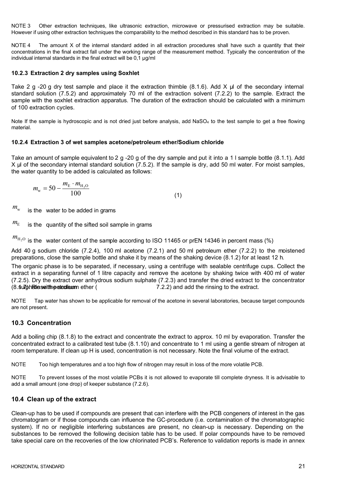NOTE 3 Other extraction techniques, like ultrasonic extraction, microwave or pressurised extraction may be suitable. However if using other extraction techniques the comparability to the method described in this standard has to be proven.

NOTE 4 The amount X of the internal standard added in all extraction procedures shall have such a quantity that their concentrations in the final extract fall under the working range of the measurement method. Typically the concentration of the individual internal standards in the final extract will be 0,1 μg/ml

## **10.2.3 Extraction 2 dry samples using Soxhlet**

Take 2 g -20 g dry test sample and place it the extraction thimble (8.1.6). Add X μl of the secondary internal standard solution (7.5.2) and approximately 70 ml of the extraction solvent (7.2.2) to the sample. Extract the sample with the soxhlet extraction apparatus. The duration of the extraction should be calculated with a minimum of 100 extraction cycles.

Note If the sample is hydroscopic and is not dried just before analysis, add NaSO<sub>4</sub> to the test sample to get a free flowing material.

# **10.2.4 Extraction 3 of wet samples acetone/petroleum ether/Sodium chloride**

Take an amount of sample equivalent to 2 g -20 g of the dry sample and put it into a 1 I sample bottle (8.1.1). Add X μl of the secondary internal standard solution (7.5.2). If the sample is dry, add 50 ml water. For moist samples, the water quantity to be added is calculated as follows:

$$
m_{\rm w} = 50 - \frac{m_{\rm E} \cdot m_{\rm H_2O}}{100} \tag{1}
$$

 $m_{\text{w}}$  is the water to be added in grams

 $m<sub>E</sub>$  is the quantity of the sifted soil sample in grams

 $m_{\text{H}_2\text{O}}$  is the water content of the sample according to ISO 11465 or prEN 14346 in percent mass (%)

Add 40 g sodium chloride (7.2.4), 100 ml acetone (7.2.1) and 50 ml petroleum ether (7.2.2) to the moistened preparations, close the sample bottle and shake it by means of the shaking device (8.1.2) for at least 12 h.

The organic phase is to be separated, if necessary, using a centrifuge with sealable centrifuge cups. Collect the extract in a separating funnel of 1 litre capacity and remove the acetone by shaking twice with 400 ml of water (7.2.5). Dry the extract over anhydrous sodium sulphate (7.2.3) and transfer the dried extract to the concentrator (8. stuli). Rinse the solution of the solution of the solution of the state with periodic with periodic with periodic view of the extract.

NOTE Tap water has shown to be applicable for removal of the acetone in several laboratories, because target compounds are not present.

# **10.3 Concentration**

Add a boiling chip (8.1.8) to the extract and concentrate the extract to approx. 10 ml by evaporation. Transfer the concentrated extract to a calibrated test tube (8.1.10) and concentrate to 1 ml using a gentle stream of nitrogen at room temperature. If clean up H is used, concentration is not necessary. Note the final volume of the extract.

NOTE Too high temperatures and a too high flow of nitrogen may result in loss of the more volatile PCB.

NOTE To prevent losses of the most volatile PCBs it is not allowed to evaporate till complete dryness. It is advisable to add a small amount (one drop) of keeper substance (7.2.6).

# **10.4 Clean up of the extract**

Clean-up has to be used if compounds are present that can interfere with the PCB congeners of interest in the gas chromatogram or if those compounds can influence the GC-procedure (i.e. contamination of the chromatographic system). If no or negligible interfering substances are present, no clean-up is necessary. Depending on the substances to be removed the following decision table has to be used. If polar compounds have to be removed take special care on the recoveries of the low chlorinated PCB's. Reference to validation reports is made in annex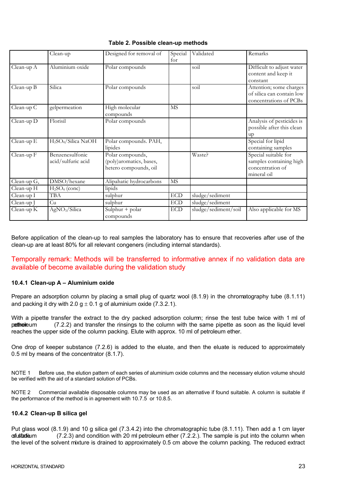|              | Clean-up                                    | Designed for removal of                                              | Special<br>for              | Validated            | Remarks                                                                            |
|--------------|---------------------------------------------|----------------------------------------------------------------------|-----------------------------|----------------------|------------------------------------------------------------------------------------|
| Clean-up A   | Aluminium oxide                             | Polar compounds                                                      |                             | soil                 | Difficult to adjust water<br>content and keep it<br>constant                       |
| Clean-up B   | Silica                                      | Polar compounds                                                      |                             | soil                 | Attention; some charges<br>of silica can contain low<br>concentrations of PCBs     |
| Clean-up C   | gelpermeation                               | High molecular<br>compounds                                          | <b>MS</b>                   |                      |                                                                                    |
| Clean-up D   | Florisil                                    | Polar compounds                                                      |                             |                      | Analysis of pesticides is<br>possible after this clean<br>up                       |
| Clean-up E   | H <sub>2</sub> SO <sub>4</sub> /Silica NaOH | Polar compounds. PAH,<br>lipides                                     |                             |                      | Special for lipid<br>containing samples                                            |
| Clean-up F   | Benzenesulfonic<br>acid/sulfuric acid       | Polar compounds,<br>(poly)aromatics, bases,<br>hetero compounds, oil |                             | Waste?               | Special suitable for<br>samples containing high<br>concentration of<br>mineral oil |
| Clean-up G,  | DMSO/hexane                                 | Alipahatic hydrocarbons                                              | <b>MS</b>                   |                      |                                                                                    |
| $Clean-up H$ | H <sub>2</sub> SO <sub>4</sub> (conc)       | lipids                                                               |                             |                      |                                                                                    |
| Clean-up I   | <b>TBA</b>                                  | sulphur                                                              | $\ensuremath{\mathrm{ECD}}$ | sludge/sediment      |                                                                                    |
| Clean-up J   | Cu                                          | sulphur                                                              | ECD                         | sludge/sediment      |                                                                                    |
| Clean-up $K$ | AgNO <sub>3</sub> /Silica                   | Sulphur + $polar$<br>compounds                                       | ECD                         | sludge/sediment/soil | Also applicable for MS                                                             |

## **Table 2. Possible clean-up methods**

Before application of the clean-up to real samples the laboratory has to ensure that recoveries after use of the clean-up are at least 80% for all relevant congeners (including internal standards).

# Temporally remark: Methods will be transferred to informative annex if no validation data are available of become available during the validation study

### **10.4.1 Clean-up A – Aluminium oxide**

Prepare an adsorption column by placing a small plug of quartz wool (8.1.9) in the chromatography tube (8.1.11) and packing it dry with 2.0  $q \pm 0.1$  g of aluminium oxide (7.3.2.1).

With a pipette transfer the extract to the dry packed adsorption column; rinse the test tube twice with 1 ml of  $p$  ether leum  $(7.2.2)$  and transfer the rinsings to the column with the same pipette as soon as the liquid level reaches the upper side of the column packing. Elute with approx. 10 ml of petroleum ether.

One drop of keeper substance (7.2.6) is added to the eluate, and then the eluate is reduced to approximately 0.5 ml by means of the concentrator (8.1.7).

NOTE 1 Before use, the elution pattern of each series of aluminium oxide columns and the necessary elution volume should be verified with the aid of a standard solution of PCBs.

NOTE 2 Commercial available disposable columns may be used as an alternative if found suitable. A column is suitable if the performance of the method is in agreement with 10.7.5 or 10.8.5.

#### **10.4.2 Clean-up B silica gel**

Put glass wool (8.1.9) and 10 g silica gel (7.3.4.2) into the chromatographic tube (8.1.11). Then add a 1 cm layer  $of  $3.2.3$  and condition with 20 ml between the  $(7.2.2)$ . The sample is put into the column when$ the level of the solvent mixture is drained to approximately 0.5 cm above the column packing. The reduced extract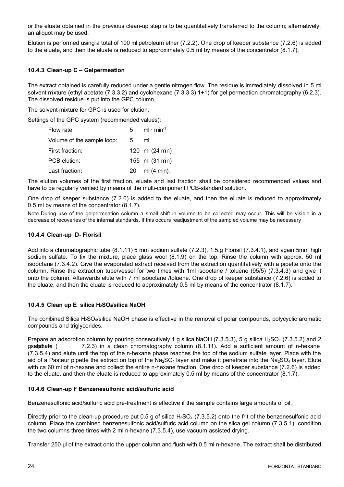or the eluate obtained in the previous clean-up step is to be quantitatively transferred to the column; alternatively, an aliquot may be used.

Elution is performed using a total of 100 ml petroleum ether (7.2.2). One drop of keeper substance (7.2.6) is added to the eluate, and then the eluate is reduced to approximately 0.5 ml by means of the concentrator (8.1.7).

# **10.4.3 Clean-up C – Gelpermeation**

The extract obtained is carefully reduced under a gentle nitrogen flow. The residue is immediately dissolved in 5 ml solvent mixture (ethyl acetate (7.3.3.2) and cyclohexane (7.3.3.3) 1+1) for gel permeation chromatography (6.2.3). The dissolved residue is put into the GPC column.

The solvent mixture for GPC is used for elution.

Settings of the GPC system (recommended values):

| Flow rate:                 | 5. | $ml \cdot min^{-1}$ |
|----------------------------|----|---------------------|
| Volume of the sample loop: | 5  | ml                  |
| First fraction:            |    | 120 ml (24 min)     |
| PCB elution:               |    | 155 ml (31 min)     |
| Last fraction:             | 20 | ml (4 min).         |

The elution volumes of the first fraction, eluate and last fraction shall be considered recommended values and have to be regularly verified by means of the multi-component PCB-standard solution.

One drop of keeper substance (7.2.6) is added to the eluate, and then the eluate is reduced to approximately 0.5 ml by means of the concentrator (8.1.7).

Note During use of the gelpermeation column a small shift in volume to be collected may occur. This will be visible in a decrease of recoveries of the internal standards. If this occurs readjustment of the sampled volume may be necessary

### **10.4.4 Clean-up D- Florisil**

Add into a chromatographic tube (8.1.11) 5 mm sodium sulfate (7.2.3), 1.5.g Florisil (7.3.4.1), and again 5mm high sodium sulfate. To fix the mixture, place glass wool (8.1.9) on the top. Rinse the column with approx. 50 ml isooctane (7.3.4.2). Give the evaporated extract received from the extraction quantitatively with a pipette onto the column. Rinse the extraction tube/vessel for two times with 1ml isooctane / toluene (95/5) (7.3.4.3) and give it onto the column. Afterwards elute with 7 ml isooctane /toluene. One drop of keeper substance (7.2.6) is added to the eluate, and then the eluate is reduced to approximately 0.5 ml by means of the concentrator (8.1.7).

### **10.4.5 Clean up E silica H2SO4/silica NaOH**

The combined Silica H<sub>2</sub>SO<sub>4</sub>/silica NaOH phase is effective in the removal of polar compounds, polycyclic aromatic compounds and triglycerides.

Prepare an adsorption column by pouring consecutively 1 g silica NaOH (7.3.5.3), 5 g silica H<sub>2</sub>SO<sub>4</sub> (7.3.5.2) and 2 qs**stodium sulphate (**  $7.2.3$ ) in a clean chromatography column  $(8.1.11)$ . Add a sufficient amount of n-hexane (7.3.5.4) and elute until the top of the n-hexane phase reaches the top of the sodium sulfate layer. Place with the aid of a Pasteur pipette the extract on top of the Na<sub>2</sub>SO<sub>4</sub> layer and make it penetrate into the Na<sub>2</sub>SO<sub>4</sub> layer. Elute with ca 60 ml of n-hexane and collect the entire n-hexane fraction. One drop of keeper substance (7.2.6) is added to the eluate, and then the eluate is reduced to approximately 0.5 ml by means of the concentrator (8.1.7).

### **10.4.6 Clean-up F Benzenesulfonic acid/sulfuric acid**

Benzenesulfonic acid/sulfuric acid pre-treatment is effective if the sample contains large amounts of oil.

Directly prior to the clean-up procedure put 0.5 g of silica  $H_2SO_4$  (7.3.5.2) onto the frit of the benzenesulfonic acid column. Place the combined benzenesulfonic acid/sulfuric acid column on the silca gel column (7.3.5.1). condition the two columns three times with 2 ml n-hexane (7.3.5.4), use vacuum assisted drying.

Transfer 250 μl of the extract onto the upper column and flush with 0.5 ml n-hexane. The extract shall be distributed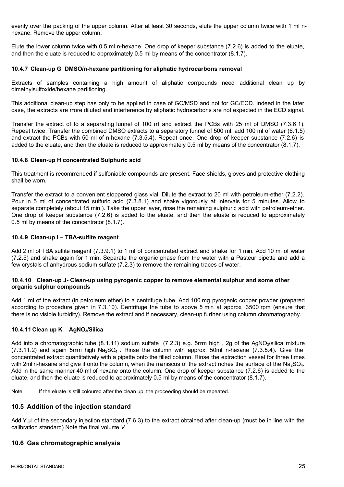evenly over the packing of the upper column. After at least 30 seconds, elute the upper column twice with 1 ml nhexane. Remove the upper column.

Elute the lower column twice with 0.5 ml n-hexane. One drop of keeper substance (7.2.6) is added to the eluate, and then the eluate is reduced to approximately 0.5 ml by means of the concentrator (8.1.7).

#### **10.4.7 Clean-up G DMSO/n-hexane partitioning for aliphatic hydrocarbons removal**

Extracts of samples containing a high amount of aliphatic compounds need additional clean up by dimethylsulfoxide/hexane partitioning.

This additional clean-up step has only to be applied in case of GC/MSD and not for GC/ECD. Indeed in the later case, the extracts are more diluted and interference by aliphatic hydrocarbons are not expected in the ECD signal.

Transfer the extract of to a separating funnel of 100 ml and extract the PCBs with 25 ml of DMSO (7.3.6.1). Repeat twice. Transfer the combined DMSO extracts to a separatory funnel of 500 ml, add 100 ml of water (6.1.5) and extract the PCBs with 50 ml of n-hexane (7.3.5.4). Repeat once. One drop of keeper substance (7.2.6) is added to the eluate, and then the eluate is reduced to approximately 0.5 ml by means of the concentrator (8.1.7).

#### **10.4.8 Clean-up H concentrated Sulphuric acid**

This treatment is recommended if sulfoniable compounds are present. Face shields, gloves and protective clothing shall be worn.

Transfer the extract to a convenient stoppered glass vial. Dilute the extract to 20 ml with petroleum-ether (7.2.2). Pour in 5 ml of concentrated sulfuric acid (7.3.8.1) and shake vigorously at intervals for 5 minutes. Allow to separate completely (about 15 min.). Take the upper layer, rinse the remaining sulphuric acid with petroleum-ether. One drop of keeper substance (7.2.6) is added to the eluate, and then the eluate is reduced to approximately 0.5 ml by means of the concentrator (8.1.7).

#### **10.4.9 Clean-up I – TBA-sulfite reagent**

Add 2 ml of TBA sulfite reagent (7.3.9.1) to 1 ml of concentrated extract and shake for 1 min. Add 10 ml of water (7.2.5) and shake again for 1 min. Separate the organic phase from the water with a Pasteur pipette and add a few crystals of anhydrous sodium sulfate (7.2.3) to remove the remaining traces of water.

#### **10.4.10 Clean-up J- Clean-up using pyrogenic copper to remove elemental sulphur and some other organic sulphur compounds**

Add 1 ml of the extract (in petroleum ether) to a centrifuge tube. Add 100 mg pyrogenic copper powder (prepared according to procedure given in 7.3.10). Centrifuge the tube to above 5 min at approx. 3500 rpm (ensure that there is no visible turbidity). Remove the extract and if necessary, clean-up further using column chromatography.

### **10.4.11 Clean up K AgNO3/Silica**

Add into a chromatographic tube  $(8.1.11)$  sodium sulfate  $(7.2.3)$  e.g. 5mm high, 2g of the AgNO<sub>3</sub>/silica mixture (7.3.11.2) and again 5mm high  $Na<sub>2</sub>SO<sub>4</sub>$ . Rinse the column with approx. 50ml n-hexane (7.3.5.4). Give the concentrated extract quantitatively with a pipette onto the filled column. Rinse the extraction vessel for three times with 2ml n-hexane and give it onto the column, when the meniscus of the extract riches the surface of the Na<sub>2</sub>SO<sub>4</sub>. Add in the same manner 40 ml of hexane onto the column. One drop of keeper substance (7.2.6) is added to the eluate, and then the eluate is reduced to approximately 0.5 ml by means of the concentrator (8.1.7).

Note If the eluate is still coloured after the clean up, the proceeding should be repeated.

## **10.5 Addition of the injection standard**

Add Y.μl of the secondary injection standard (7.6.3) to the extract obtained after clean-up (must be in line with the calibration standard) Note the final volume *V*

### **10.6 Gas chromatographic analysis**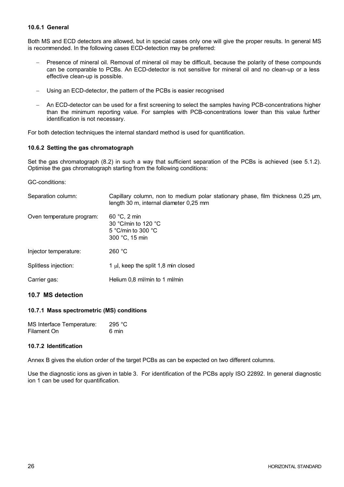## **10.6.1 General**

Both MS and ECD detectors are allowed, but in special cases only one will give the proper results. In general MS is recommended. In the following cases ECD-detection may be preferred:

- Presence of mineral oil. Removal of mineral oil may be difficult, because the polarity of these compounds can be comparable to PCBs. An ECD-detector is not sensitive for mineral oil and no clean-up or a less effective clean-up is possible.
- Using an ECD-detector, the pattern of the PCBs is easier recognised
- An ECD-detector can be used for a first screening to select the samples having PCB-concentrations higher than the minimum reporting value. For samples with PCB-concentrations lower than this value further identification is not necessary.

For both detection techniques the internal standard method is used for quantification.

#### **10.6.2 Setting the gas chromatograph**

Set the gas chromatograph (8.2) in such a way that sufficient separation of the PCBs is achieved (see 5.1.2). Optimise the gas chromatograph starting from the following conditions:

GC-conditions:

| Separation column:        | Capillary column, non to medium polar stationary phase, film thickness 0,25 µm,<br>length 30 m, internal diameter 0,25 mm |
|---------------------------|---------------------------------------------------------------------------------------------------------------------------|
| Oven temperature program: | 60 °C. 2 min<br>30 °C/min to 120 °C<br>5 °C/min to 300 $^{\circ}$ C<br>300 °C, 15 min                                     |
| Injector temperature:     | 260 °C                                                                                                                    |
| Splitless injection:      | 1 $\mu$ , keep the split 1,8 min closed                                                                                   |
| Carrier gas:              | Helium 0,8 ml/min to 1 ml/min                                                                                             |

# **10.7 MS detection**

#### **10.7.1 Mass spectrometric (MS) conditions**

| MS Interface Temperature: | 295 $°C$ |
|---------------------------|----------|
| Filament On               | 6 min    |

### **10.7.2 Identification**

Annex B gives the elution order of the target PCBs as can be expected on two different columns.

Use the diagnostic ions as given in table 3. For identification of the PCBs apply ISO 22892. In general diagnostic ion 1 can be used for quantification.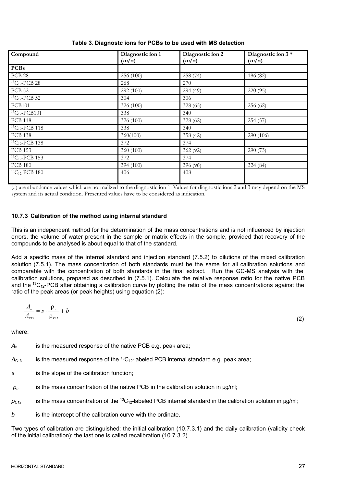| Compound                          | Diagnostic ion 1 | Diagnostic ion 2 | Diagnostic ion 3 * |
|-----------------------------------|------------------|------------------|--------------------|
|                                   | (m/z)            | (m/z)            | (m/z)              |
| <b>PCBs</b>                       |                  |                  |                    |
| <b>PCB 28</b>                     | 256 (100)        | 258 (74)         | 186 (82)           |
| $^{13}C_{12}$ -PCB 28             | 268              | 270              |                    |
| <b>PCB 52</b>                     | 292 (100)        | 294 (49)         | 220 (95)           |
| $\overline{^{13}C_{12}}$ -PCB 52  | 304              | 306              |                    |
| <b>PCB101</b>                     | 326 (100)        | 328 (65)         | 256 (62)           |
| $13C_{12}$ -PCB101                | 338              | 340              |                    |
| <b>PCB 118</b>                    | 326 (100)        | 328 (62)         | 254 (57)           |
| $13C_{12}$ -PCB 118               | 338              | 340              |                    |
| <b>PCB 138</b>                    | 360(100)         | 358 (42)         | 290 (106)          |
| $13C_{12}$ -PCB 138               | 372              | 374              |                    |
| <b>PCB 153</b>                    | 360 (100)        | 362 (92)         | 290 (73)           |
| $\overline{^{13}C_{12}}$ -PCB 153 | 372              | 374              |                    |
| <b>PCB 180</b>                    | 394 (100)        | 396 (96)         | 324(84)            |
| $\overline{^{13}C_{12}}$ -PCB 180 | 406              | 408              |                    |
|                                   |                  |                  |                    |

## **Table 3. Diagnostc ions for PCBs to be used with MS detection**

(..) are abundance values which are normalized to the diagnostic ion 1. Values for diagnostic ions 2 and 3 may depend on the MSsystem and its actual condition. Presented values have to be considered as indication.

### **10.7.3 Calibration of the method using internal standard**

This is an independent method for the determination of the mass concentrations and is not influenced by injection errors, the volume of water present in the sample or matrix effects in the sample, provided that recovery of the compounds to be analysed is about equal to that of the standard.

Add a specific mass of the internal standard and injection standard (7.5.2) to dilutions of the mixed calibration solution (7.5.1). The mass concentration of both standards must be the same for all calibration solutions and comparable with the concentration of both standards in the final extract. Run the GC-MS analysis with the calibration solutions, prepared as described in (7.5.1). Calculate the relative response ratio for the native PCB and the <sup>13</sup>C<sub>12</sub>-PCB after obtaining a calibration curve by plotting the ratio of the mass concentrations against the ratio of the peak areas (or peak heights) using equation (2):

$$
\frac{A_{\scriptscriptstyle{n}}}{A_{\scriptscriptstyle{C13}}} = s \cdot \frac{\rho_{\scriptscriptstyle{n}}}{\rho_{\scriptscriptstyle{C13}}} + b \tag{2}
$$

where:

*A*<sup>n</sup> is the measured response of the native PCB e.g. peak area;

 $A<sub>C13</sub>$  is the measured response of the <sup>13</sup>C<sub>12</sub>-labeled PCB internal standard e.g. peak area;

*s* is the slope of the calibration function;

 $\rho_n$  is the mass concentration of the native PCB in the calibration solution in  $\mu$ g/ml;

 $\rho_{C13}$  is the mass concentration of the <sup>13</sup>C<sub>12</sub>-labeled PCB internal standard in the calibration solution in µg/ml;

*b* is the intercept of the calibration curve with the ordinate.

Two types of calibration are distinguished: the initial calibration (10.7.3.1) and the daily calibration (validity check of the initial calibration); the last one is called recalibration (10.7.3.2).

(2)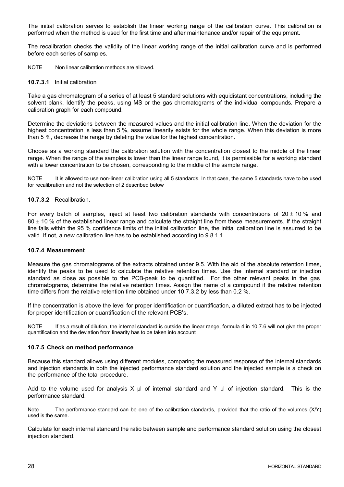The initial calibration serves to establish the linear working range of the calibration curve. This calibration is performed when the method is used for the first time and after maintenance and/or repair of the equipment.

The recalibration checks the validity of the linear working range of the initial calibration curve and is performed before each series of samples.

NOTE Non linear calibration methods are allowed.

#### **10.7.3.1** Initial calibration

Take a gas chromatogram of a series of at least 5 standard solutions with equidistant concentrations, including the solvent blank. Identify the peaks, using MS or the gas chromatograms of the individual compounds. Prepare a calibration graph for each compound.

Determine the deviations between the measured values and the initial calibration line. When the deviation for the highest concentration is less than 5 %, assume linearity exists for the whole range. When this deviation is more than 5 %, decrease the range by deleting the value for the highest concentration.

Choose as a working standard the calibration solution with the concentration closest to the middle of the linear range. When the range of the samples is lower than the linear range found, it is permissible for a working standard with a lower concentration to be chosen, corresponding to the middle of the sample range.

NOTE It is allowed to use non-linear calibration using all 5 standards. In that case, the same 5 standards have to be used for recalibration and not the selection of 2 described below

#### **10.7.3.2** Recalibration.

For every batch of samples, inject at least two calibration standards with concentrations of  $20 \pm 10$  % and  $80 \pm 10$  % of the established linear range and calculate the straight line from these measurements. If the straight line falls within the 95 % confidence limits of the initial calibration line, the initial calibration line is assumed to be valid. If not, a new calibration line has to be established according to 9.8.1.1.

#### **10.7.4 Measurement**

Measure the gas chromatograms of the extracts obtained under 9.5. With the aid of the absolute retention times, identify the peaks to be used to calculate the relative retention times. Use the internal standard or injection standard as close as possible to the PCB-peak to be quantified. For the other relevant peaks in the gas chromatograms, determine the relative retention times. Assign the name of a compound if the relative retention time differs from the relative retention time obtained under 10.7.3.2 by less than 0.2 %.

If the concentration is above the level for proper identification or quantification, a diluted extract has to be injected for proper identification or quantification of the relevant PCB's.

NOTE If as a result of dilution, the internal standard is outside the linear range, formula 4 in 10.7.6 will not give the proper quantification and the deviation from linearity has to be taken into account

#### **10.7.5 Check on method performance**

Because this standard allows using different modules, comparing the measured response of the internal standards and injection standards in both the injected performance standard solution and the injected sample is a check on the performance of the total procedure.

Add to the volume used for analysis X  $\mu$  of internal standard and Y  $\mu$  of injection standard. This is the performance standard.

Note The performance standard can be one of the calibration standards, provided that the ratio of the volumes (X/Y) used is the same.

Calculate for each internal standard the ratio between sample and performance standard solution using the closest injection standard.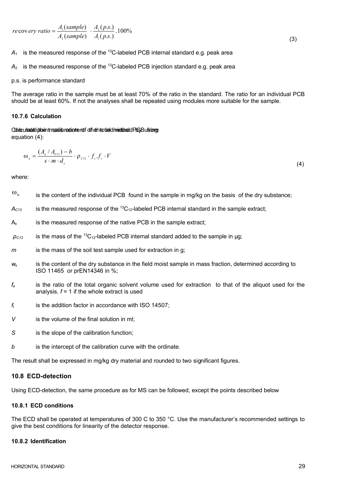$$
recovery ratio = \frac{A_1(sample)}{A_2(sample)} \cdot \frac{A_2(p.s.)}{A_1(p.s.)} .100\%
$$

(3)

 $A_1$  is the measured response of the <sup>13</sup>C-labeled PCB internal standard e.g. peak area

 $A<sub>2</sub>$  is the measured response of the <sup>13</sup>C-labeled PCB injection standard e.g. peak area

#### p.s. is performance standard

The average ratio in the sample must be at least 70% of the ratio in the standard. The ratio for an individual PCB should be at least 60%. If not the analyses shall be repeated using modules more suitable for the sample.

#### **10.7.6 Calculation**

Ctale unautetipoint mass is reading tent of the head individual department calciation of equation (4):

$$
\omega_{n} = \frac{(A_{n} / A_{c13}) - b}{s \cdot m \cdot d_{s}} \cdot \rho_{c13} \cdot f_{e} \cdot f_{t} \cdot V
$$
\n(4)

where:

| $\omega_{\rm n}$ | is the content of the individual PCB found in the sample in mg/kg on the basis of the dry substance; |  |
|------------------|------------------------------------------------------------------------------------------------------|--|
|                  |                                                                                                      |  |

- $A<sub>C13</sub>$  is the measured response of the <sup>13</sup>C<sub>12</sub>-labeled PCB internal standard in the sample extract;
- A<sub>n</sub> is the measured response of the native PCB in the sample extract:
- $\rho_{C13}$  is the mass of the <sup>13</sup>C<sub>12</sub>-labeled PCB internal standard added to the sample in µg;
- *m* is the mass of the soil test sample used for extraction in g;
- $w_s$  is the content of the dry substance in the field moist sample in mass fraction, determined according to ISO 11465 or prEN14346 in %;
- *f<sup>e</sup>* is the ratio of the total organic solvent volume used for extraction to that of the aliquot used for the analysis.  $f = 1$  if the whole extract is used
- *f*<sup>t</sup> is the addition factor in accordance with ISO 14507;
- *V* is the volume of the final solution in ml;
- *S* is the slope of the calibration function;
- *b* is the intercept of the calibration curve with the ordinate.

The result shall be expressed in mg/kg dry material and rounded to two significant figures.

#### **10.8 ECD-detection**

Using ECD-detection, the same procedure as for MS can be followed, except the points described below

#### **10.8.1 ECD conditions**

The ECD shall be operated at temperatures of 300 C to 350 °C. Use the manufacturer's recommended settings to give the best conditions for linearity of the detector response.

#### **10.8.2 Identification**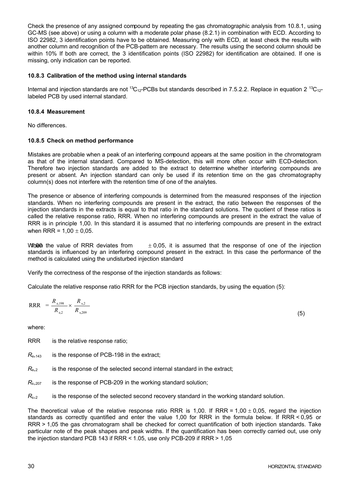Check the presence of any assigned compound by repeating the gas chromatographic analysis from 10.8.1, using GC-MS (see above) or using a column with a moderate polar phase (8.2.1) in combination with ECD. According to ISO 22982, 3 identification points have to be obtained. Measuring only with ECD, at least check the results with another column and recognition of the PCB-pattern are necessary. The results using the second column should be within 10% If both are correct, the 3 identification points (ISO 22982) for identification are obtained. If one is missing, only indication can be reported.

### **10.8.3 Calibration of the method using internal standards**

Internal and injection standards are not <sup>13</sup>C<sub>12</sub>-PCBs but standards described in 7.5.2.2. Replace in equation 2<sup>13</sup>C<sub>12</sub>labeled PCB by used internal standard.

#### **10.8.4 Measurement**

No differences.

#### **10.8.5 Check on method performance**

Mistakes are probable when a peak of an interfering compound appears at the same position in the chromatogram as that of the internal standard. Compared to MS-detection, this will more often occur with ECD-detection. Therefore two injection standards are added to the extract to determine whether interfering compounds are present or absent. An injection standard can only be used if its retention time on the gas chromatography column(s) does not interfere with the retention time of one of the analytes.

The presence or absence of interfering compounds is determined from the measured responses of the injection standards. When no interfering compounds are present in the extract, the ratio between the responses of the injection standards in the extracts is equal to that ratio in the standard solutions. The quotient of these ratios is called the relative response ratio, RRR. When no interfering compounds are present in the extract the value of RRR is in principle 1,00. In this standard it is assumed that no interfering compounds are present in the extract when RRR =  $1.00 \pm 0.05$ .

When the value of RRR deviates from  $\pm 0.05$ , it is assumed that the response of one of the injection standards is influenced by an interfering compound present in the extract. In this case the performance of the method is calculated using the undisturbed injection standard

Verify the correctness of the response of the injection standards as follows:

Calculate the relative response ratio RRR for the PCB injection standards, by using the equation (5):

$$
RRR = \frac{R_{e,198}}{R_{e,2}} \times \frac{R_{s,2}}{R_{s,209}}
$$

where:

RRR is the relative response ratio;

*R*<sub>e</sub>, 143 is the response of PCB-198 in the extract;

 $R_{e,2}$  is the response of the selected second internal standard in the extract;

 $R_{s,207}$  is the response of PCB-209 in the working standard solution;

 $R_{s,2}$  is the response of the selected second recovery standard in the working standard solution.

The theoretical value of the relative response ratio RRR is 1,00. If RRR = 1,00  $\pm$  0,05, regard the injection standards as correctly quantified and enter the value 1,00 for RRR in the formula below. If RRR < 0,95 or RRR > 1,05 the gas chromatogram shall be checked for correct quantification of both injection standards. Take particular note of the peak shapes and peak widths. If the quantification has been correctly carried out, use only the injection standard PCB 143 if RRR < 1.05, use only PCB-209 if RRR > 1,05

(5)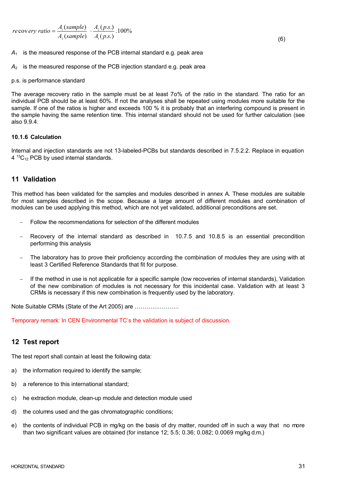$$
recovery ratio = \frac{A_1(sample)}{A_2(sample)} \cdot \frac{A_2(p.s.)}{A_1(p.s.)} .100\%
$$

(6)

*A*<sup>1</sup> is the measured response of the PCB internal standard e.g. peak area

*A*<sup>2</sup> is the measured response of the PCB injection standard e.g. peak area

#### p.s. is performance standard

The average recovery ratio in the sample must be at least 7o% of the ratio in the standard. The ratio for an individual PCB should be at least 60%. If not the analyses shall be repeated using modules more suitable for the sample. If one of the ratios is higher and exceeds 100 % it is probably that an interfering compound is present in the sample having the same retention time. This internal standard should not be used for further calculation (see also 9.9.4.

#### **10.1.6 Calculation**

Internal and injection standards are not 13-labeled-PCBs but standards described in 7.5.2.2. Replace in equation  $4^{13}C_{12}$  PCB by used internal standards.

# **11 Validation**

This method has been validated for the samples and modules described in annex A. These modules are suitable for most samples described in the scope. Because a large amount of different modules and combination of modules can be used applying this method, which are not yet validated, additional preconditions are set.

- Follow the recommendations for selection of the different modules
- Recovery of the internal standard as described in 10.7.5 and 10.8.5 is an essential precondition performing this analysis
- The laboratory has to prove their proficiency according the combination of modules they are using with at least 3 Certified Reference Standards that fit for purpose.
- If the method in use is not applicable for a specific sample (low recoveries of internal standards), Validation of the new combination of modules is not necessary for this incidental case. Validation with at least 3 CRMs is necessary if this new combination is frequently used by the laboratory.

Note Suitable CRMs (State of the Art 2005) are …………………..

Temporary remark: In CEN Environmental TC's the validation is subject of discussion.

# **12 Test report**

The test report shall contain at least the following data:

- a) the information required to identify the sample;
- b) a reference to this international standard;
- c) he extraction module, clean-up module and detection module used
- d) the columns used and the gas chromatographic conditions;
- e) the contents of individual PCB in mg/kg on the basis of dry matter, rounded off in such a way that no more than two significant values are obtained (for instance 12; 5.5; 0.36; 0.082; 0.0069 mg/kg d.m.)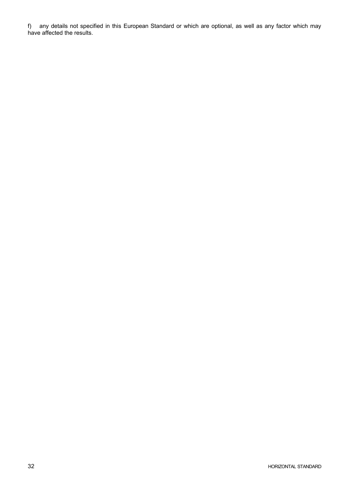f) any details not specified in this European Standard or which are optional, as well as any factor which may have affected the results.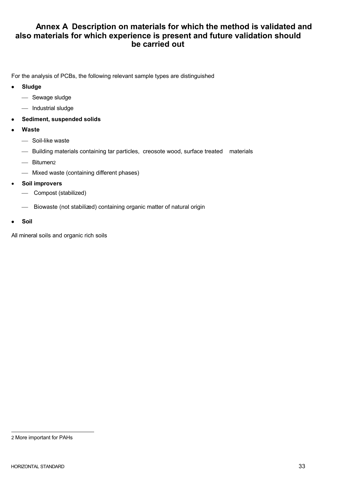# **Annex A Description on materials for which the method is validated and also materials for which experience is present and future validation should be carried out**

For the analysis of PCBs, the following relevant sample types are distinguished

- · **Sludge**
	- ¾ Sewage sludge
	- Industrial sludge
- Sediment, suspended solids
- · **Waste**
	- Soil-like waste
	- ¾ Building materials containing tar particles, creosote wood, surface treated materials
	- Bitumen2
	- ¾ Mixed waste (containing different phases)
- · **Soil improvers**
	- ¾ Compost (stabilized)
	- ¾ Biowaste (not stabilized) containing organic matter of natural origin
- · **Soil**

All mineral soils and organic rich soils

<sup>2</sup> More important for PAHs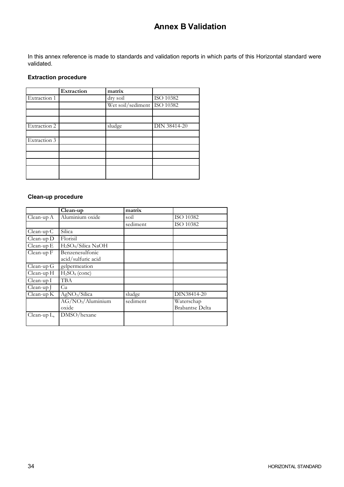# **Annex B Validation**

In this annex reference is made to standards and validation reports in which parts of this Horizontal standard were validated.

# **Extraction procedure**

|              | Extraction | matrix                      |                     |
|--------------|------------|-----------------------------|---------------------|
| Extraction 1 |            | dry soil                    | <b>ISO 10382</b>    |
|              |            | Wet soil/sediment ISO 10382 |                     |
|              |            |                             |                     |
|              |            |                             |                     |
| Extraction 2 |            | sludge                      | <b>DIN 38414-20</b> |
|              |            |                             |                     |
| Extraction 3 |            |                             |                     |
|              |            |                             |                     |
|              |            |                             |                     |
|              |            |                             |                     |
|              |            |                             |                     |
|              |            |                             |                     |

# **Clean-up procedure**

|                | $\overline{\text{C}}$ lean-up               | matrix   |                        |
|----------------|---------------------------------------------|----------|------------------------|
| $Clean-up A$   | Aluminium oxide                             | soil     | ISO 10382              |
|                |                                             | sediment | ISO 10382              |
| $Clean-up C$   | <b>Silica</b>                               |          |                        |
| $Clean-up D$   | Florisil                                    |          |                        |
| $Clean-up E$   | H <sub>2</sub> SO <sub>4</sub> /Silica NaOH |          |                        |
| Clean-up F     | Benzenesulfonic                             |          |                        |
|                | acid/sulfuric acid                          |          |                        |
| $Clean-up G$   | gelpermeation                               |          |                        |
| Clean-up H     | H <sub>2</sub> SO <sub>4</sub> (conc)       |          |                        |
| Clean-up I     | <b>TBA</b>                                  |          |                        |
| Clean-up J     | Cu                                          |          |                        |
| $Clean-up K$   | AgNO <sub>3</sub> /Silica                   | sludge   | DIN38414-20            |
|                | $AG/NO3/\overline{Al}$ uminium              | sediment | Waterschap             |
|                | oxide                                       |          | <b>Brabantse Delta</b> |
| Clean-up $L$ , | DMSO/hexane                                 |          |                        |
|                |                                             |          |                        |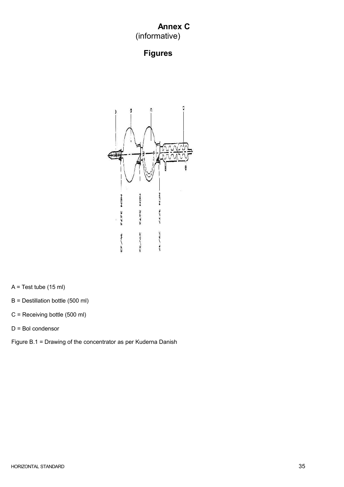# **Annex C** (informative)

# **Figures**



A = Test tube (15 ml)

B = Destillation bottle (500 ml)

C = Receiving bottle (500 ml)

D = Bol condensor

Figure B.1 = Drawing of the concentrator as per Kuderna Danish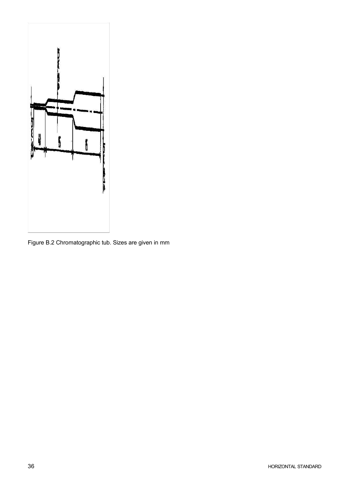

Figure B.2 Chromatographic tub. Sizes are given in mm